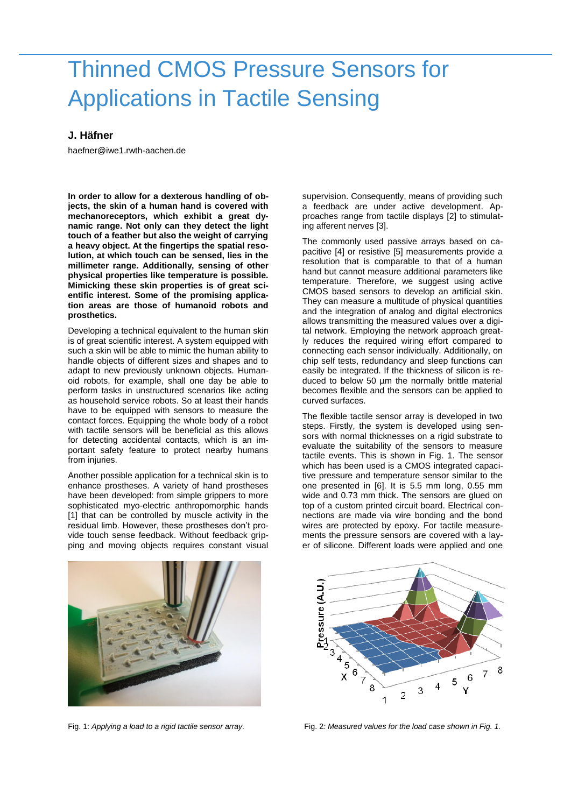## Thinned CMOS Pressure Sensors for Applications in Tactile Sensing

## **J. Häfner**

haefner@iwe1.rwth-aachen.de

**In order to allow for a dexterous handling of objects, the skin of a human hand is covered with mechanoreceptors, which exhibit a great dynamic range. Not only can they detect the light touch of a feather but also the weight of carrying a heavy object. At the fingertips the spatial resolution, at which touch can be sensed, lies in the millimeter range. Additionally, sensing of other physical properties like temperature is possible. Mimicking these skin properties is of great scientific interest. Some of the promising application areas are those of humanoid robots and prosthetics.**

Developing a technical equivalent to the human skin is of great scientific interest. A system equipped with such a skin will be able to mimic the human ability to handle objects of different sizes and shapes and to adapt to new previously unknown objects. Humanoid robots, for example, shall one day be able to perform tasks in unstructured scenarios like acting as household service robots. So at least their hands have to be equipped with sensors to measure the contact forces. Equipping the whole body of a robot with tactile sensors will be beneficial as this allows for detecting accidental contacts, which is an important safety feature to protect nearby humans from injuries.

Another possible application for a technical skin is to enhance prostheses. A variety of hand prostheses have been developed: from simple grippers to more sophisticated myo-electric anthropomorphic hands [1] that can be controlled by muscle activity in the residual limb. However, these prostheses don't provide touch sense feedback. Without feedback gripping and moving objects requires constant visual supervision. Consequently, means of providing such a feedback are under active development. Approaches range from tactile displays [2] to stimulating afferent nerves [3].

The commonly used passive arrays based on capacitive [4] or resistive [5] measurements provide a resolution that is comparable to that of a human hand but cannot measure additional parameters like temperature. Therefore, we suggest using active CMOS based sensors to develop an artificial skin. They can measure a multitude of physical quantities and the integration of analog and digital electronics allows transmitting the measured values over a digital network. Employing the network approach greatly reduces the required wiring effort compared to connecting each sensor individually. Additionally, on chip self tests, redundancy and sleep functions can easily be integrated. If the thickness of silicon is reduced to below 50 µm the normally brittle material becomes flexible and the sensors can be applied to curved surfaces.

The flexible tactile sensor array is developed in two steps. Firstly, the system is developed using sensors with normal thicknesses on a rigid substrate to evaluate the suitability of the sensors to measure tactile events. This is shown in Fig. 1. The sensor which has been used is a CMOS integrated capacitive pressure and temperature sensor similar to the one presented in [6]. It is 5.5 mm long, 0.55 mm wide and 0.73 mm thick. The sensors are glued on top of a custom printed circuit board. Electrical connections are made via wire bonding and the bond wires are protected by epoxy. For tactile measurements the pressure sensors are covered with a layer of silicone. Different loads were applied and one





Fig. 1: *Applying a load to a rigid tactile sensor array.* Fig. 2*: Measured values for the load case shown in Fig. 1.*